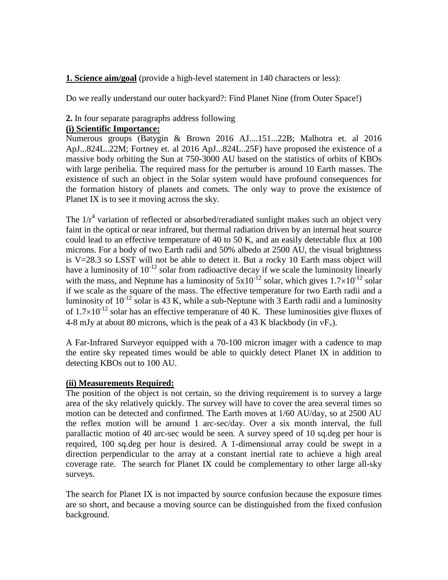**1. Science aim/goal** (provide a high-level statement in 140 characters or less):

Do we really understand our outer backyard?: Find Planet Nine (from Outer Space!)

## **2.** In four separate paragraphs address following

# **(i) Scientific Importance:**

Numerous groups (Batygin & Brown 2016 AJ....151...22B; Malhotra et. al 2016 ApJ...824L..22M; Fortney et. al 2016 ApJ...824L..25F) have proposed the existence of a massive body orbiting the Sun at 750-3000 AU based on the statistics of orbits of KBOs with large perihelia. The required mass for the perturber is around 10 Earth masses. The existence of such an object in the Solar system would have profound consequences for the formation history of planets and comets. The only way to prove the existence of Planet IX is to see it moving across the sky.

The  $1/r^4$  variation of reflected or absorbed/reradiated sunlight makes such an object very faint in the optical or near infrared, but thermal radiation driven by an internal heat source could lead to an effective temperature of 40 to 50 K, and an easily detectable flux at 100 microns. For a body of two Earth radii and 50% albedo at 2500 AU, the visual brightness is V=28.3 so LSST will not be able to detect it. But a rocky 10 Earth mass object will have a luminosity of  $10^{-12}$  solar from radioactive decay if we scale the luminosity linearly with the mass, and Neptune has a luminosity of  $5x10^{-12}$  solar, which gives  $1.7\times10^{-12}$  solar if we scale as the square of the mass. The effective temperature for two Earth radii and a luminosity of  $10^{-12}$  solar is 43 K, while a sub-Neptune with 3 Earth radii and a luminosity of  $1.7\times10^{-12}$  solar has an effective temperature of 40 K. These luminosities give fluxes of 4-8 mJy at about 80 microns, which is the peak of a 43 K blackbody (in  $vF_v$ ).

A Far-Infrared Surveyor equipped with a 70-100 micron imager with a cadence to map the entire sky repeated times would be able to quickly detect Planet IX in addition to detecting KBOs out to 100 AU.

## **(ii) Measurements Required:**

The position of the object is not certain, so the driving requirement is to survey a large area of the sky relatively quickly. The survey will have to cover the area several times so motion can be detected and confirmed. The Earth moves at 1/60 AU/day, so at 2500 AU the reflex motion will be around 1 arc-sec/day. Over a six month interval, the full parallactic motion of 40 arc-sec would be seen. A survey speed of 10 sq.deg per hour is required, 100 sq.deg per hour is desired. A 1-dimensional array could be swept in a direction perpendicular to the array at a constant inertial rate to achieve a high areal coverage rate. The search for Planet IX could be complementary to other large all-sky surveys.

The search for Planet IX is not impacted by source confusion because the exposure times are so short, and because a moving source can be distinguished from the fixed confusion background.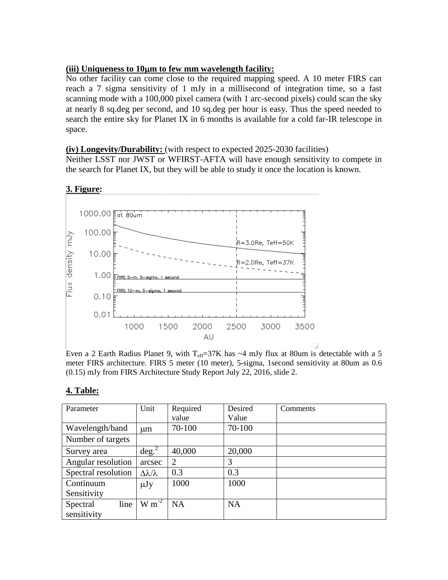# **(iii) Uniqueness to 10m to few mm wavelength facility:**

No other facility can come close to the required mapping speed. A 10 meter FIRS can reach a 7 sigma sensitivity of 1 mJy in a millisecond of integration time, so a fast scanning mode with a 100,000 pixel camera (with 1 arc-second pixels) could scan the sky at nearly 8 sq.deg per second, and 10 sq.deg per hour is easy. Thus the speed needed to search the entire sky for Planet IX in 6 months is available for a cold far-IR telescope in space.

### **(iv) Longevity/Durability:** (with respect to expected 2025-2030 facilities)

Neither LSST nor JWST or WFIRST-AFTA will have enough sensitivity to compete in the search for Planet IX, but they will be able to study it once the location is known.



### **3. Figure:**

Even a 2 Earth Radius Planet 9, with  $T_{\text{eff}}=37K$  has  $\sim$ 4 mJy flux at 80um is detectable with a 5 meter FIRS architecture. FIRS 5 meter (10 meter), 5-sigma, 1second sensitivity at 80um as 0.6 (0.15) mJy from FIRS Architecture Study Report July 22, 2016, slide 2.

## **4. Table:**

| Parameter           | Unit                       | Required  | Desired   | Comments |
|---------------------|----------------------------|-----------|-----------|----------|
|                     |                            | value     | Value     |          |
| Wavelength/band     | um                         | 70-100    | 70-100    |          |
| Number of targets   |                            |           |           |          |
| Survey area         | $\deg^2$                   | 40,000    | 20,000    |          |
| Angular resolution  | arcsec                     | 2         | 3         |          |
| Spectral resolution | $\Delta \lambda / \lambda$ | 0.3       | 0.3       |          |
| Continuum           | $\mu$ Jy                   | 1000      | 1000      |          |
| Sensitivity         |                            |           |           |          |
| line<br>Spectral    | $W m^{-2}$                 | <b>NA</b> | <b>NA</b> |          |
| sensitivity         |                            |           |           |          |